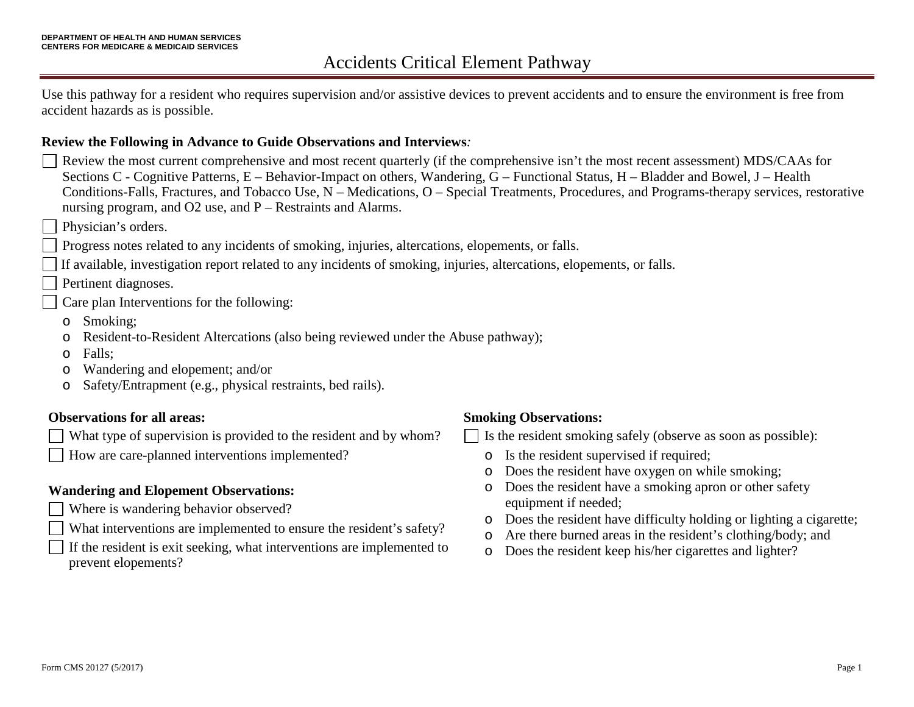Use this pathway for a resident who requires supervision and/or assistive devices to prevent accidents and to ensure the environment is free from accident hazards as is possible.

#### **Review the Following in Advance to Guide Observations and Interviews***:*

- Review the most current comprehensive and most recent quarterly (if the comprehensive isn't the most recent assessment) MDS/CAAs for Sections C - Cognitive Patterns, E – Behavior-Impact on others, Wandering, G – Functional Status, H – Bladder and Bowel, J – Health Conditions-Falls, Fractures, and Tobacco Use, N – Medications, O – Special Treatments, Procedures, and Programs-therapy services, restorative nursing program, and O2 use, and P – Restraints and Alarms.
- Physician's orders.
- Progress notes related to any incidents of smoking, injuries, altercations, elopements, or falls.
- If available, investigation report related to any incidents of smoking, injuries, altercations, elopements, or falls.
- Pertinent diagnoses.
- Care plan Interventions for the following:
- o Smoking;
- o Resident-to-Resident Altercations (also being reviewed under the Abuse pathway);
- o Falls;
- o Wandering and elopement; and/or
- o Safety/Entrapment (e.g., physical restraints, bed rails).

#### **Observations for all areas:**

- What type of supervision is provided to the resident and by whom?
- How are care-planned interventions implemented?

#### **Wandering and Elopement Observations:**

- Where is wandering behavior observed?
- What interventions are implemented to ensure the resident's safety?
- If the resident is exit seeking, what interventions are implemented to prevent elopements?

#### **Smoking Observations:**

Is the resident smoking safely (observe as soon as possible):

- o Is the resident supervised if required;
- o Does the resident have oxygen on while smoking;
- o Does the resident have a smoking apron or other safety equipment if needed;
- o Does the resident have difficulty holding or lighting a cigarette;
- o Are there burned areas in the resident's clothing/body; and
- o Does the resident keep his/her cigarettes and lighter?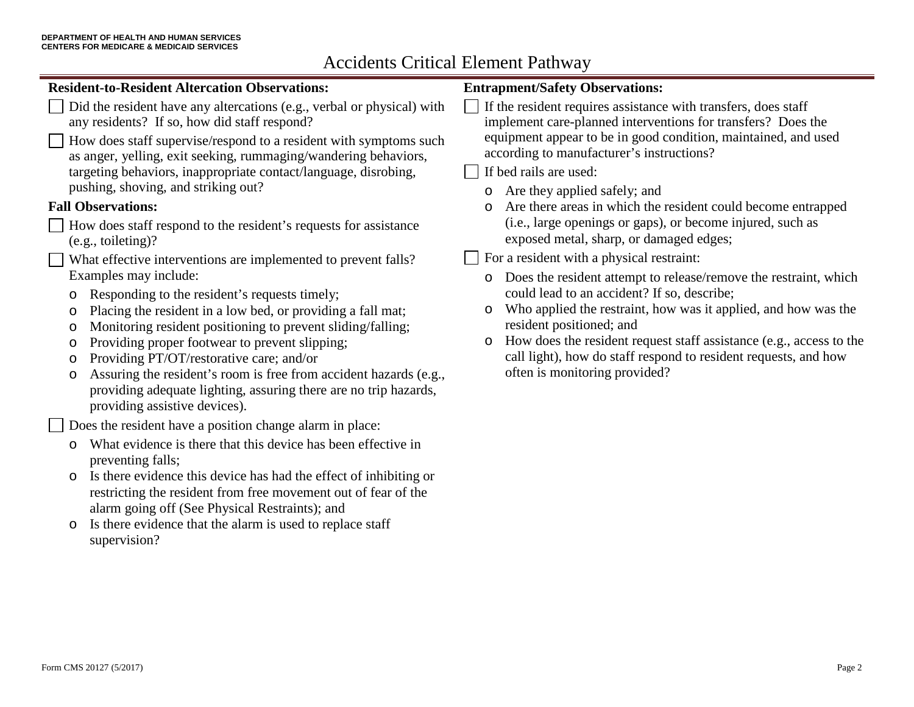## **Resident-to-Resident Altercation Observations:**

Did the resident have any altercations (e.g., verbal or physical) with any residents? If so, how did staff respond?

How does staff supervise/respond to a resident with symptoms such  $\mathbf{I}$ as anger, yelling, exit seeking, rummaging/wandering behaviors, targeting behaviors, inappropriate contact/language, disrobing, pushing, shoving, and striking out?

### **Fall Observations:**

- How does staff respond to the resident's requests for assistance (e.g., toileting)?
- What effective interventions are implemented to prevent falls? Examples may include:
	- o Responding to the resident's requests timely;
	- o Placing the resident in a low bed, or providing a fall mat;
	- o Monitoring resident positioning to prevent sliding/falling;
	- o Providing proper footwear to prevent slipping;
	- o Providing PT/OT/restorative care; and/or
	- o Assuring the resident's room is free from accident hazards (e.g., providing adequate lighting, assuring there are no trip hazards, providing assistive devices).

Does the resident have a position change alarm in place:

- o What evidence is there that this device has been effective in preventing falls;
- o Is there evidence this device has had the effect of inhibiting or restricting the resident from free movement out of fear of the alarm going off (See Physical Restraints); and
- o Is there evidence that the alarm is used to replace staff supervision?

## **Entrapment/Safety Observations:**

If the resident requires assistance with transfers, does staff implement care-planned interventions for transfers? Does the equipment appear to be in good condition, maintained, and used according to manufacturer's instructions?

## If bed rails are used:

- o Are they applied safely; and
- o Are there areas in which the resident could become entrapped (i.e., large openings or gaps), or become injured, such as exposed metal, sharp, or damaged edges;

 $\Box$  For a resident with a physical restraint:

- o Does the resident attempt to release/remove the restraint, which could lead to an accident? If so, describe;
- o Who applied the restraint, how was it applied, and how was the resident positioned; and
- o How does the resident request staff assistance (e.g., access to the call light), how do staff respond to resident requests, and how often is monitoring provided?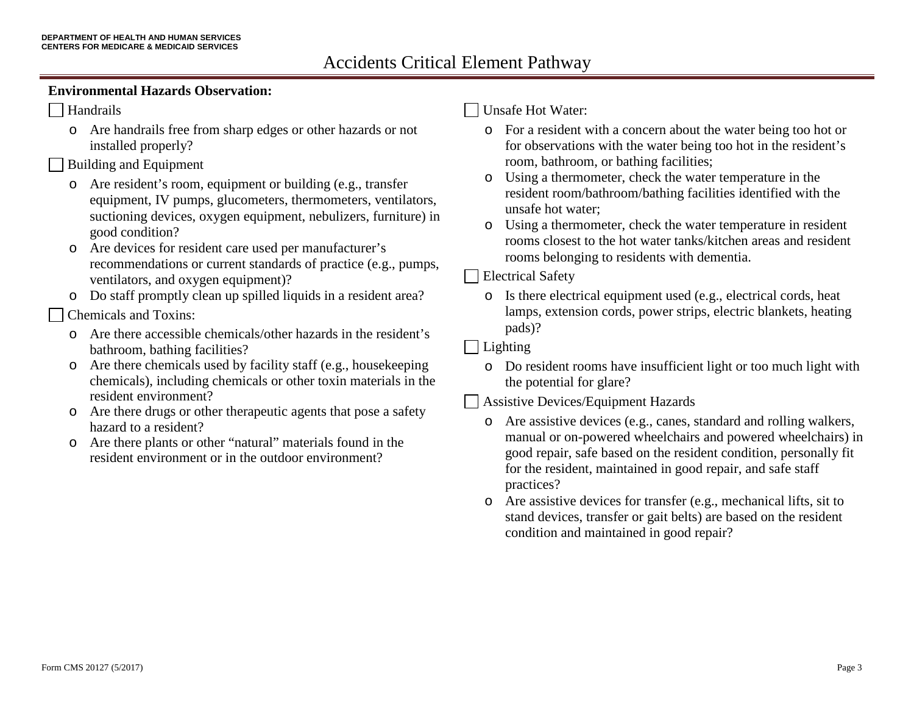#### **Environmental Hazards Observation:**

#### Handrails

o Are handrails free from sharp edges or other hazards or not installed properly?

#### Building and Equipment

- o Are resident's room, equipment or building (e.g., transfer equipment, IV pumps, glucometers, thermometers, ventilators, suctioning devices, oxygen equipment, nebulizers, furniture) in good condition?
- o Are devices for resident care used per manufacturer's recommendations or current standards of practice (e.g., pumps, ventilators, and oxygen equipment)?
- o Do staff promptly clean up spilled liquids in a resident area?

#### Chemicals and Toxins:

- o Are there accessible chemicals/other hazards in the resident's bathroom, bathing facilities?
- o Are there chemicals used by facility staff (e.g., housekeeping chemicals), including chemicals or other toxin materials in the resident environment?
- o Are there drugs or other therapeutic agents that pose a safety hazard to a resident?
- o Are there plants or other "natural" materials found in the resident environment or in the outdoor environment?

#### Unsafe Hot Water:

- o For a resident with a concern about the water being too hot or for observations with the water being too hot in the resident's room, bathroom, or bathing facilities;
- o Using a thermometer, check the water temperature in the resident room/bathroom/bathing facilities identified with the unsafe hot water;
- o Using a thermometer, check the water temperature in resident rooms closest to the hot water tanks/kitchen areas and resident rooms belonging to residents with dementia.

### Electrical Safety

o Is there electrical equipment used (e.g., electrical cords, heat lamps, extension cords, power strips, electric blankets, heating pads)?

#### **Lighting**

o Do resident rooms have insufficient light or too much light with the potential for glare?

### Assistive Devices/Equipment Hazards

- o Are assistive devices (e.g., canes, standard and rolling walkers, manual or on-powered wheelchairs and powered wheelchairs) in good repair, safe based on the resident condition, personally fit for the resident, maintained in good repair, and safe staff practices?
- o Are assistive devices for transfer (e.g., mechanical lifts, sit to stand devices, transfer or gait belts) are based on the resident condition and maintained in good repair?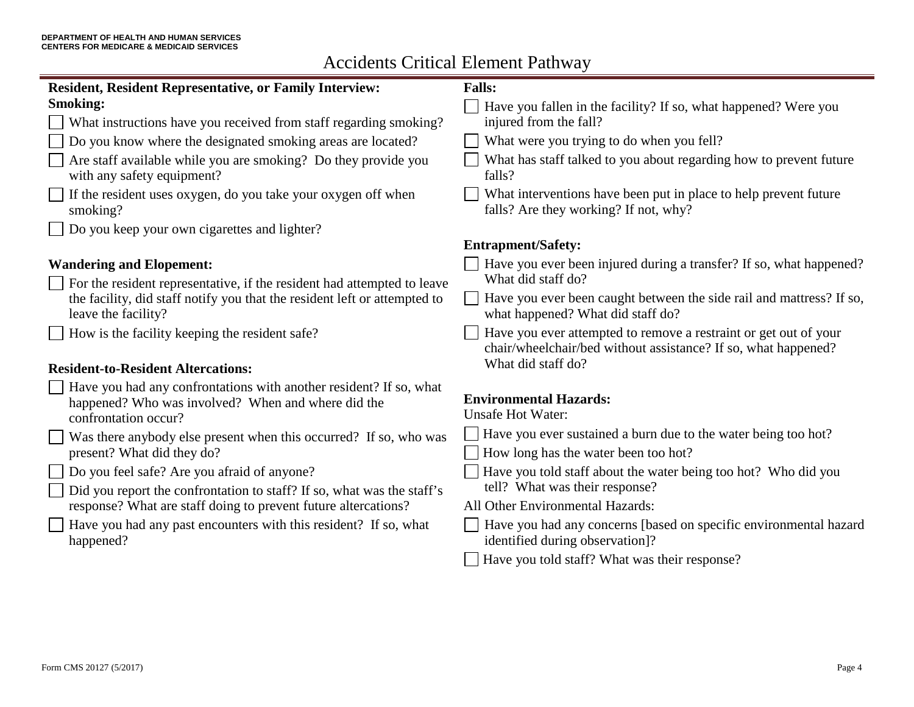| <b>Resident, Resident Representative, or Family Interview:</b>                                                                                   | <b>Falls:</b>                                                                                                                      |  |  |
|--------------------------------------------------------------------------------------------------------------------------------------------------|------------------------------------------------------------------------------------------------------------------------------------|--|--|
| <b>Smoking:</b>                                                                                                                                  |                                                                                                                                    |  |  |
|                                                                                                                                                  | Have you fallen in the facility? If so, what happened? Were you                                                                    |  |  |
| What instructions have you received from staff regarding smoking?                                                                                | injured from the fall?                                                                                                             |  |  |
| Do you know where the designated smoking areas are located?                                                                                      | What were you trying to do when you fell?                                                                                          |  |  |
| Are staff available while you are smoking? Do they provide you<br>with any safety equipment?                                                     | What has staff talked to you about regarding how to prevent future<br>falls?                                                       |  |  |
| If the resident uses oxygen, do you take your oxygen off when<br>smoking?                                                                        | What interventions have been put in place to help prevent future<br>falls? Are they working? If not, why?                          |  |  |
| Do you keep your own cigarettes and lighter?                                                                                                     |                                                                                                                                    |  |  |
|                                                                                                                                                  | <b>Entrapment/Safety:</b>                                                                                                          |  |  |
| <b>Wandering and Elopement:</b>                                                                                                                  | Have you ever been injured during a transfer? If so, what happened?                                                                |  |  |
| For the resident representative, if the resident had attempted to leave                                                                          | What did staff do?                                                                                                                 |  |  |
| the facility, did staff notify you that the resident left or attempted to<br>leave the facility?                                                 | Have you ever been caught between the side rail and mattress? If so,<br>what happened? What did staff do?                          |  |  |
| How is the facility keeping the resident safe?                                                                                                   | Have you ever attempted to remove a restraint or get out of your<br>chair/wheelchair/bed without assistance? If so, what happened? |  |  |
| <b>Resident-to-Resident Altercations:</b>                                                                                                        | What did staff do?                                                                                                                 |  |  |
| Have you had any confrontations with another resident? If so, what<br>happened? Who was involved? When and where did the<br>confrontation occur? | <b>Environmental Hazards:</b><br><b>Unsafe Hot Water:</b>                                                                          |  |  |
| Was there anybody else present when this occurred? If so, who was                                                                                | Have you ever sustained a burn due to the water being too hot?                                                                     |  |  |
| present? What did they do?                                                                                                                       | How long has the water been too hot?                                                                                               |  |  |
| Do you feel safe? Are you afraid of anyone?                                                                                                      | Have you told staff about the water being too hot? Who did you                                                                     |  |  |
| Did you report the confrontation to staff? If so, what was the staff's                                                                           | tell? What was their response?                                                                                                     |  |  |
| response? What are staff doing to prevent future altercations?                                                                                   | All Other Environmental Hazards:                                                                                                   |  |  |
| Have you had any past encounters with this resident? If so, what<br>happened?                                                                    | Have you had any concerns [based on specific environmental hazard<br>identified during observation]?                               |  |  |
|                                                                                                                                                  | Have you told staff? What was their response?                                                                                      |  |  |
|                                                                                                                                                  |                                                                                                                                    |  |  |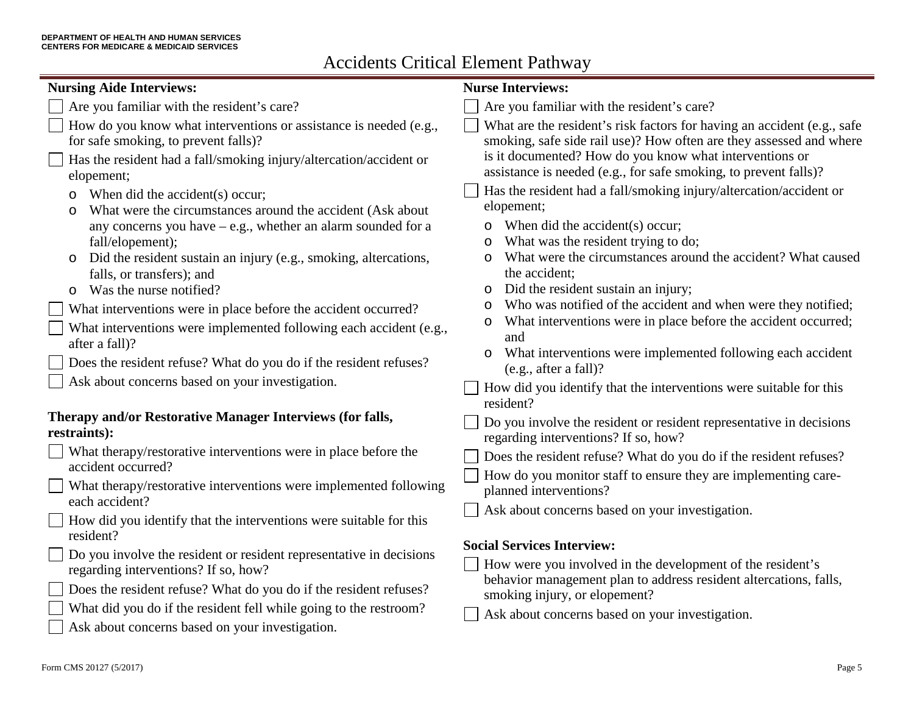| <b>Nursing Aide Interviews:</b>                                                                                                                                                                                                                                                                                                                                                                                                                                                                                                                                                                                                                 | <b>Nurse Interviews:</b>                                                                                                                                                                                                                                                                                                                                                                                                                                                                                                                                                                                                                                                                 |  |  |
|-------------------------------------------------------------------------------------------------------------------------------------------------------------------------------------------------------------------------------------------------------------------------------------------------------------------------------------------------------------------------------------------------------------------------------------------------------------------------------------------------------------------------------------------------------------------------------------------------------------------------------------------------|------------------------------------------------------------------------------------------------------------------------------------------------------------------------------------------------------------------------------------------------------------------------------------------------------------------------------------------------------------------------------------------------------------------------------------------------------------------------------------------------------------------------------------------------------------------------------------------------------------------------------------------------------------------------------------------|--|--|
| Are you familiar with the resident's care?                                                                                                                                                                                                                                                                                                                                                                                                                                                                                                                                                                                                      | Are you familiar with the resident's care?                                                                                                                                                                                                                                                                                                                                                                                                                                                                                                                                                                                                                                               |  |  |
| How do you know what interventions or assistance is needed (e.g.,<br>for safe smoking, to prevent falls)?<br>Has the resident had a fall/smoking injury/altercation/accident or                                                                                                                                                                                                                                                                                                                                                                                                                                                                 | What are the resident's risk factors for having an accident (e.g., safe<br>smoking, safe side rail use)? How often are they assessed and where<br>is it documented? How do you know what interventions or                                                                                                                                                                                                                                                                                                                                                                                                                                                                                |  |  |
| elopement;<br>When did the accident(s) occur;<br>O<br>What were the circumstances around the accident (Ask about<br>$\circ$<br>any concerns you have $-$ e.g., whether an alarm sounded for a<br>fall/elopement);<br>Did the resident sustain an injury (e.g., smoking, altercations,<br>O<br>falls, or transfers); and<br>Was the nurse notified?<br>$\circ$<br>What interventions were in place before the accident occurred?<br>What interventions were implemented following each accident (e.g.,<br>after a fall)?<br>Does the resident refuse? What do you do if the resident refuses?<br>Ask about concerns based on your investigation. | assistance is needed (e.g., for safe smoking, to prevent falls)?<br>Has the resident had a fall/smoking injury/altercation/accident or<br>elopement;<br>When did the accident(s) occur;<br>What was the resident trying to do;<br>O<br>What were the circumstances around the accident? What caused<br>the accident;<br>Did the resident sustain an injury;<br>O<br>Who was notified of the accident and when were they notified;<br>What interventions were in place before the accident occurred;<br>O<br>and<br>What interventions were implemented following each accident<br>$\circ$<br>(e.g., after a fall)?<br>How did you identify that the interventions were suitable for this |  |  |
| Therapy and/or Restorative Manager Interviews (for falls,<br>restraints):                                                                                                                                                                                                                                                                                                                                                                                                                                                                                                                                                                       | resident?<br>Do you involve the resident or resident representative in decisions                                                                                                                                                                                                                                                                                                                                                                                                                                                                                                                                                                                                         |  |  |
| What therapy/restorative interventions were in place before the<br>accident occurred?<br>What therapy/restorative interventions were implemented following<br>each accident?<br>How did you identify that the interventions were suitable for this                                                                                                                                                                                                                                                                                                                                                                                              | regarding interventions? If so, how?<br>Does the resident refuse? What do you do if the resident refuses?<br>How do you monitor staff to ensure they are implementing care-<br>planned interventions?<br>Ask about concerns based on your investigation.                                                                                                                                                                                                                                                                                                                                                                                                                                 |  |  |
| resident?<br>Do you involve the resident or resident representative in decisions<br>regarding interventions? If so, how?<br>Does the resident refuse? What do you do if the resident refuses?<br>What did you do if the resident fell while going to the restroom?<br>Ask about concerns based on your investigation.                                                                                                                                                                                                                                                                                                                           | <b>Social Services Interview:</b><br>How were you involved in the development of the resident's<br>behavior management plan to address resident altercations, falls,<br>smoking injury, or elopement?<br>Ask about concerns based on your investigation.                                                                                                                                                                                                                                                                                                                                                                                                                                 |  |  |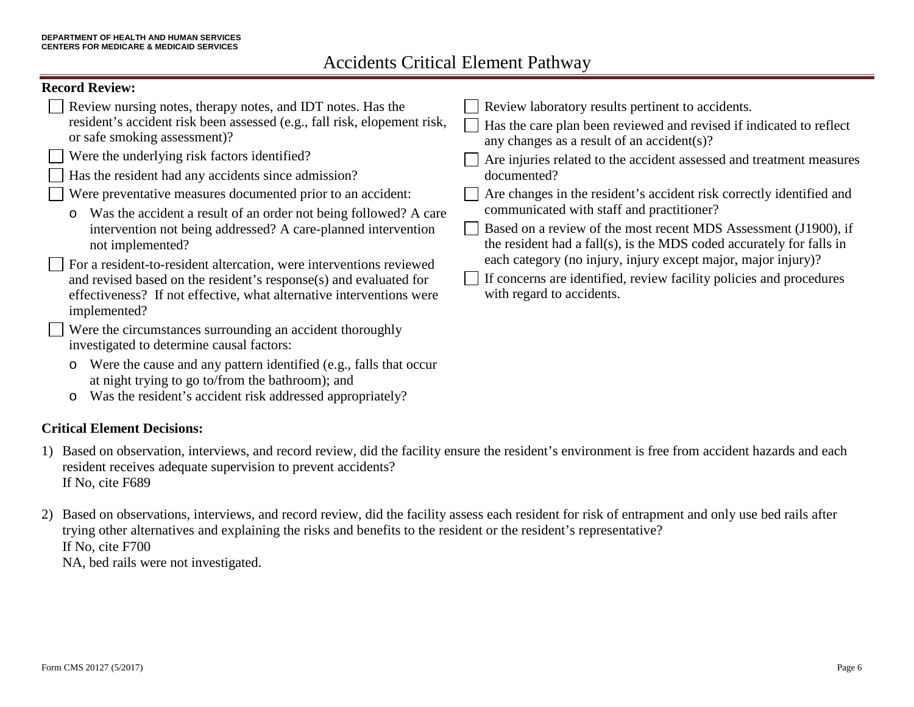## **Record Review:**

| Review nursing notes, therapy notes, and IDT notes. Has the<br>resident's accident risk been assessed (e.g., fall risk, elopement risk,<br>or safe smoking assessment)?<br>$\Box$ Were the underlying risk factors identified?<br>Has the resident had any accidents since admission?<br>Were preventative measures documented prior to an accident:<br>Was the accident a result of an order not being followed? A care<br>$\circ$<br>intervention not being addressed? A care-planned intervention<br>not implemented?<br>□ For a resident-to-resident altercation, were interventions reviewed | Review laboratory results pertinent to accidents.<br>any changes as a result of an accident(s)?<br>documented?<br>communicated with staff and practitioner?<br>the resident had a fall(s), is the MDS coded accurately for falls in<br>each category (no injury, injury except major, major injury)? | Has the care plan been reviewed and revised if indicated to reflect<br>Are injuries related to the accident assessed and treatment measures<br>Are changes in the resident's accident risk correctly identified and<br>Based on a review of the most recent MDS Assessment (J1900), if |
|---------------------------------------------------------------------------------------------------------------------------------------------------------------------------------------------------------------------------------------------------------------------------------------------------------------------------------------------------------------------------------------------------------------------------------------------------------------------------------------------------------------------------------------------------------------------------------------------------|------------------------------------------------------------------------------------------------------------------------------------------------------------------------------------------------------------------------------------------------------------------------------------------------------|----------------------------------------------------------------------------------------------------------------------------------------------------------------------------------------------------------------------------------------------------------------------------------------|
| and revised based on the resident's response(s) and evaluated for<br>effectiveness? If not effective, what alternative interventions were<br>implemented?                                                                                                                                                                                                                                                                                                                                                                                                                                         |                                                                                                                                                                                                                                                                                                      | If concerns are identified, review facility policies and procedures<br>with regard to accidents.                                                                                                                                                                                       |
| Were the circumstances surrounding an accident thoroughly<br>investigated to determine causal factors:                                                                                                                                                                                                                                                                                                                                                                                                                                                                                            |                                                                                                                                                                                                                                                                                                      |                                                                                                                                                                                                                                                                                        |
| Were the cause and any pattern identified (e.g., falls that occur<br>$\circ$                                                                                                                                                                                                                                                                                                                                                                                                                                                                                                                      |                                                                                                                                                                                                                                                                                                      |                                                                                                                                                                                                                                                                                        |

- at night trying to go to/from the bathroom); and
- o Was the resident's accident risk addressed appropriately?

## **Critical Element Decisions:**

- 1) Based on observation, interviews, and record review, did the facility ensure the resident's environment is free from accident hazards and each resident receives adequate supervision to prevent accidents? If No, cite F689
- 2) Based on observations, interviews, and record review, did the facility assess each resident for risk of entrapment and only use bed rails after trying other alternatives and explaining the risks and benefits to the resident or the resident's representative? If No, cite F700 NA, bed rails were not investigated.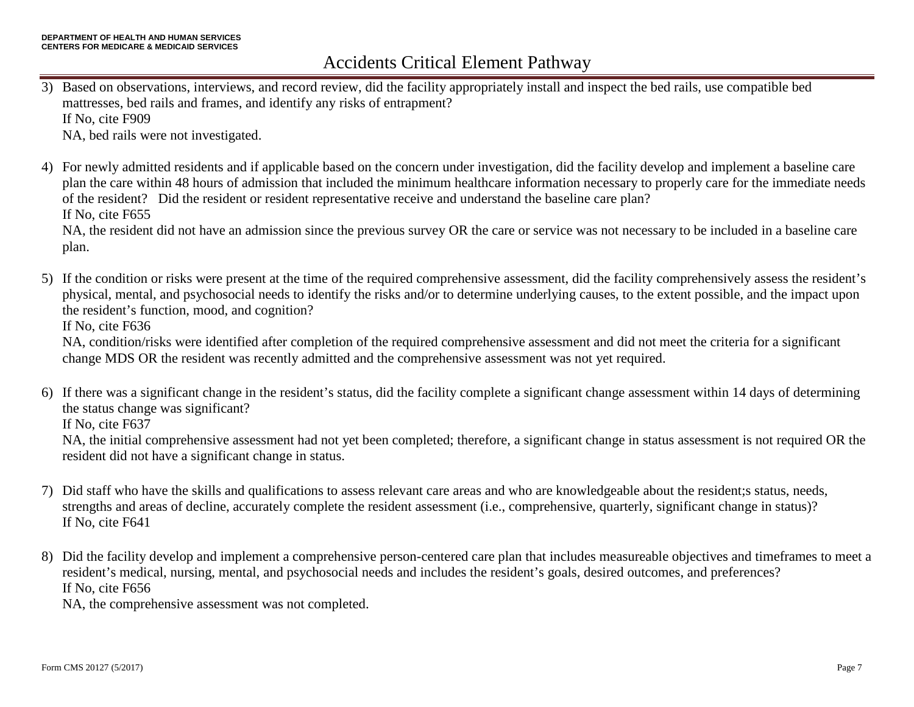- 3) Based on observations, interviews, and record review, did the facility appropriately install and inspect the bed rails, use compatible bed mattresses, bed rails and frames, and identify any risks of entrapment? If No, cite F909 NA, bed rails were not investigated.
- 4) For newly admitted residents and if applicable based on the concern under investigation, did the facility develop and implement a baseline care plan the care within 48 hours of admission that included the minimum healthcare information necessary to properly care for the immediate needs of the resident? Did the resident or resident representative receive and understand the baseline care plan? If No, cite F655 NA, the resident did not have an admission since the previous survey OR the care or service was not necessary to be included in a baseline care plan.
- 5) If the condition or risks were present at the time of the required comprehensive assessment, did the facility comprehensively assess the resident's physical, mental, and psychosocial needs to identify the risks and/or to determine underlying causes, to the extent possible, and the impact upon the resident's function, mood, and cognition?

If No, cite F636

NA, condition/risks were identified after completion of the required comprehensive assessment and did not meet the criteria for a significant change MDS OR the resident was recently admitted and the comprehensive assessment was not yet required.

6) If there was a significant change in the resident's status, did the facility complete a significant change assessment within 14 days of determining the status change was significant?

If No, cite F637

NA, the initial comprehensive assessment had not yet been completed; therefore, a significant change in status assessment is not required OR the resident did not have a significant change in status.

- 7) Did staff who have the skills and qualifications to assess relevant care areas and who are knowledgeable about the resident;s status, needs, strengths and areas of decline, accurately complete the resident assessment (i.e., comprehensive, quarterly, significant change in status)? If No, cite F641
- 8) Did the facility develop and implement a comprehensive person-centered care plan that includes measureable objectives and timeframes to meet a resident's medical, nursing, mental, and psychosocial needs and includes the resident's goals, desired outcomes, and preferences? If No, cite F656

NA, the comprehensive assessment was not completed.